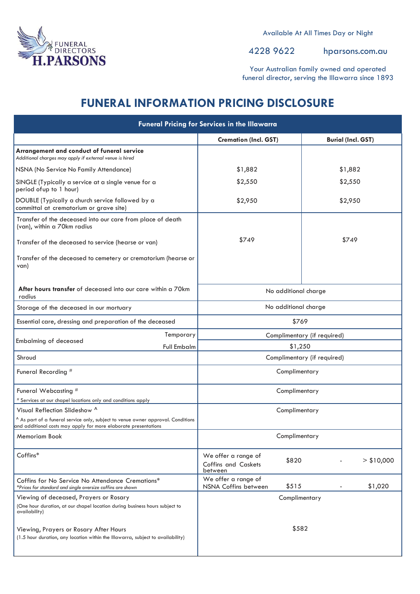

Available At All Times Day or Night

4228 9622 hparsons.com.au

Your Australian family owned and operated funeral director, serving the Illawarra since 1893

# **FUNERAL INFORMATION PRICING DISCLOSURE**

| <b>Funeral Pricing for Services in the Illawarra</b>                                                                                                |                                                                       |                           |  |
|-----------------------------------------------------------------------------------------------------------------------------------------------------|-----------------------------------------------------------------------|---------------------------|--|
|                                                                                                                                                     | <b>Cremation (Incl. GST)</b>                                          | <b>Burial (Incl. GST)</b> |  |
| Arrangement and conduct of funeral service<br>Additional charges may apply if external venue is hired                                               |                                                                       |                           |  |
| NSNA (No Service No Family Attendance)                                                                                                              | \$1,882                                                               | \$1,882                   |  |
| SINGLE (Typically a service at a single venue for a<br>period of up to 1 hour)                                                                      | \$2,550                                                               | \$2,550                   |  |
| DOUBLE (Typically a church service followed by a<br>committal at crematorium or grave site)                                                         | \$2,950                                                               | \$2,950                   |  |
| Transfer of the deceased into our care from place of death<br>(van), within a 70km radius                                                           |                                                                       |                           |  |
| Transfer of the deceased to service (hearse or van)                                                                                                 | \$749                                                                 | \$749                     |  |
| Transfer of the deceased to cemetery or crematorium (hearse or<br>van)                                                                              |                                                                       |                           |  |
| <b>After hours transfer</b> of deceased into our care within a 70km<br>radius                                                                       | No additional charge                                                  |                           |  |
| Storage of the deceased in our mortuary                                                                                                             | No additional charge                                                  |                           |  |
| Essential care, dressing and preparation of the deceased                                                                                            | \$769                                                                 |                           |  |
| Temporary                                                                                                                                           | Complimentary (if required)                                           |                           |  |
| <b>Embalming of deceased</b><br>Full Embalm                                                                                                         | \$1,250                                                               |                           |  |
| Shroud                                                                                                                                              | Complimentary (if required)                                           |                           |  |
| Funeral Recording #                                                                                                                                 | Complimentary                                                         |                           |  |
| Funeral Webcasting #<br># Services at our chapel locations only and conditions apply                                                                | Complimentary                                                         |                           |  |
| Visual Reflection Slideshow ^                                                                                                                       | Complimentary                                                         |                           |  |
| ^ As part of a funeral service only, subject to venue owner approval. Conditions<br>and additional costs may apply for more elaborate presentations |                                                                       |                           |  |
| Memoriam Book                                                                                                                                       | Complimentary                                                         |                           |  |
| Coffins*                                                                                                                                            | We offer a range of<br>\$820<br><b>Coffins and Caskets</b><br>between | $>$ \$10,000              |  |
| Coffins for No Service No Attendance Cremations*<br>*Prices for standard and single oversize coffins are shown                                      | We offer a range of<br>\$515<br>NSNA Coffins between                  | \$1,020                   |  |
| Viewing of deceased, Prayers or Rosary                                                                                                              | Complimentary                                                         |                           |  |
| (One hour duration, at our chapel location during business hours subject to<br>availability)                                                        |                                                                       |                           |  |
| Viewing, Prayers or Rosary After Hours<br>(1.5 hour duration, any location within the Illawarra, subject to availability)                           | \$582                                                                 |                           |  |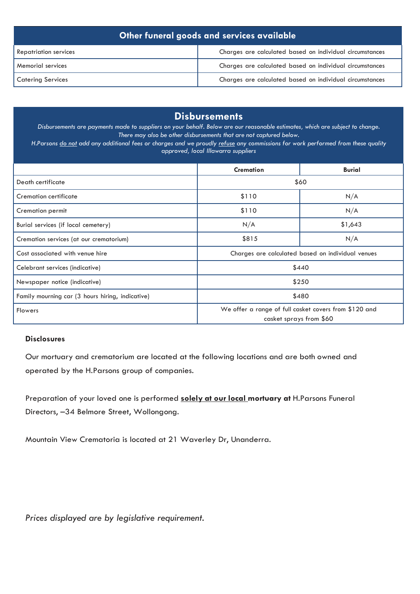| Other funeral goods and services available |                                                          |  |  |
|--------------------------------------------|----------------------------------------------------------|--|--|
| <b>Repatriation services</b>               | Charges are calculated based on individual circumstances |  |  |
| <b>Memorial services</b>                   | Charges are calculated based on individual circumstances |  |  |
| <b>Catering Services</b>                   | Charges are calculated based on individual circumstances |  |  |

## **Disbursements**

Disbursements are payments made to suppliers on your behalf. Below are our reasonable estimates, which are subject to change. *There may also be other disbursements that are not captured below.*

H.Parsons do not add any additional fees or charges and we proudly refuse any commissions for work performed from these quality *approved, local Illawarra suppliers*

|                                                  | <b>Cremation</b>                                                                 | <b>Burial</b> |  |
|--------------------------------------------------|----------------------------------------------------------------------------------|---------------|--|
| Death certificate                                | \$60                                                                             |               |  |
| Cremation certificate                            | \$110                                                                            | N/A           |  |
| Cremation permit                                 | \$110                                                                            | N/A           |  |
| Burial services (if local cemetery)              | N/A                                                                              | \$1,643       |  |
| Cremation services (at our crematorium)          | \$815                                                                            | N/A           |  |
| Cost associated with venue hire                  | Charges are calculated based on individual venues                                |               |  |
| Celebrant services (indicative)                  | \$440                                                                            |               |  |
| Newspaper notice (indicative)                    | \$250                                                                            |               |  |
| Family mourning car (3 hours hiring, indicative) | \$480                                                                            |               |  |
| <b>Flowers</b>                                   | We offer a range of full casket covers from \$120 and<br>casket sprays from \$60 |               |  |

#### **Disclosures**

Our mortuary and crematorium are located at the following locations and are both owned and operated by the H.Parsons group of companies.

Preparation of your loved one is performed **solely at our local mortuary at** H.Parsons Funeral Directors, –34 Belmore Street, Wollongong.

Mountain View Crematoria is located at 21 Waverley Dr, Unanderra.

*Prices displayed are by legislative requirement.*